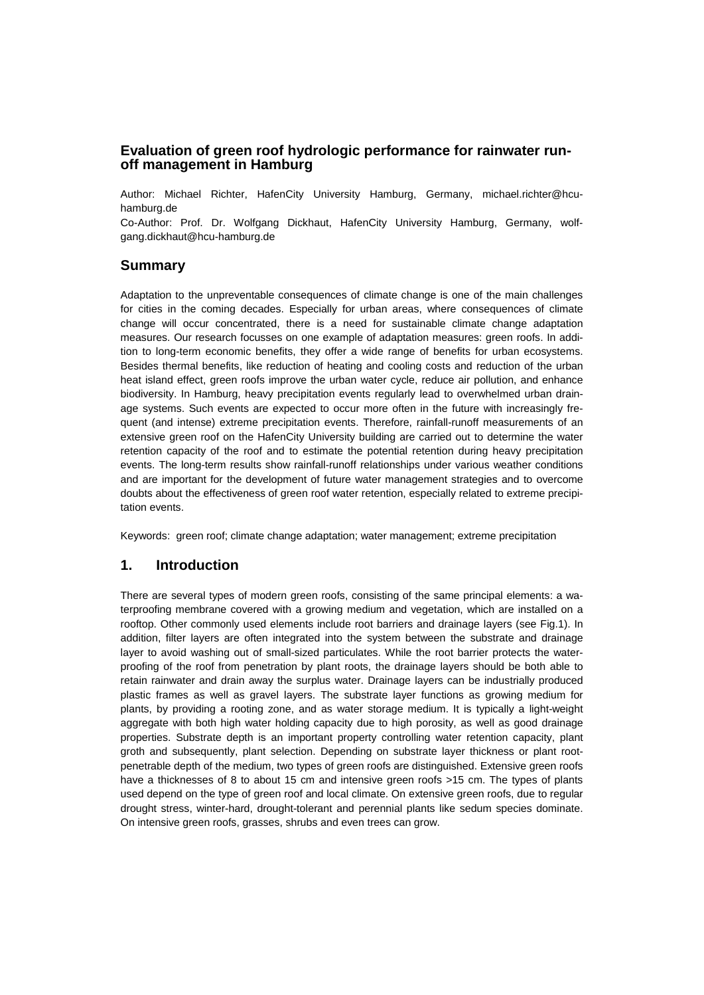### **Evaluation of green roof hydrologic performance for rainwater runoff management in Hamburg**

Author: Michael Richter, HafenCity University Hamburg, Germany, michael.richter@hcuhamburg.de

Co-Author: Prof. Dr. Wolfgang Dickhaut, HafenCity University Hamburg, Germany, wolfgang.dickhaut@hcu-hamburg.de

### **Summary**

Adaptation to the unpreventable consequences of climate change is one of the main challenges for cities in the coming decades. Especially for urban areas, where consequences of climate change will occur concentrated, there is a need for sustainable climate change adaptation measures. Our research focusses on one example of adaptation measures: green roofs. In addition to long-term economic benefits, they offer a wide range of benefits for urban ecosystems. Besides thermal benefits, like reduction of heating and cooling costs and reduction of the urban heat island effect, green roofs improve the urban water cycle, reduce air pollution, and enhance biodiversity. In Hamburg, heavy precipitation events regularly lead to overwhelmed urban drainage systems. Such events are expected to occur more often in the future with increasingly frequent (and intense) extreme precipitation events. Therefore, rainfall-runoff measurements of an extensive green roof on the HafenCity University building are carried out to determine the water retention capacity of the roof and to estimate the potential retention during heavy precipitation events. The long-term results show rainfall-runoff relationships under various weather conditions and are important for the development of future water management strategies and to overcome doubts about the effectiveness of green roof water retention, especially related to extreme precipitation events.

Keywords: green roof; climate change adaptation; water management; extreme precipitation

### **1. Introduction**

There are several types of modern green roofs, consisting of the same principal elements: a waterproofing membrane covered with a growing medium and vegetation, which are installed on a rooftop. Other commonly used elements include root barriers and drainage layers (see Fig.1). In addition, filter layers are often integrated into the system between the substrate and drainage layer to avoid washing out of small-sized particulates. While the root barrier protects the waterproofing of the roof from penetration by plant roots, the drainage layers should be both able to retain rainwater and drain away the surplus water. Drainage layers can be industrially produced plastic frames as well as gravel layers. The substrate layer functions as growing medium for plants, by providing a rooting zone, and as water storage medium. It is typically a light-weight aggregate with both high water holding capacity due to high porosity, as well as good drainage properties. Substrate depth is an important property controlling water retention capacity, plant groth and subsequently, plant selection. Depending on substrate layer thickness or plant rootpenetrable depth of the medium, two types of green roofs are distinguished. Extensive green roofs have a thicknesses of 8 to about 15 cm and intensive green roofs >15 cm. The types of plants used depend on the type of green roof and local climate. On extensive green roofs, due to regular drought stress, winter-hard, drought-tolerant and perennial plants like sedum species dominate. On intensive green roofs, grasses, shrubs and even trees can grow.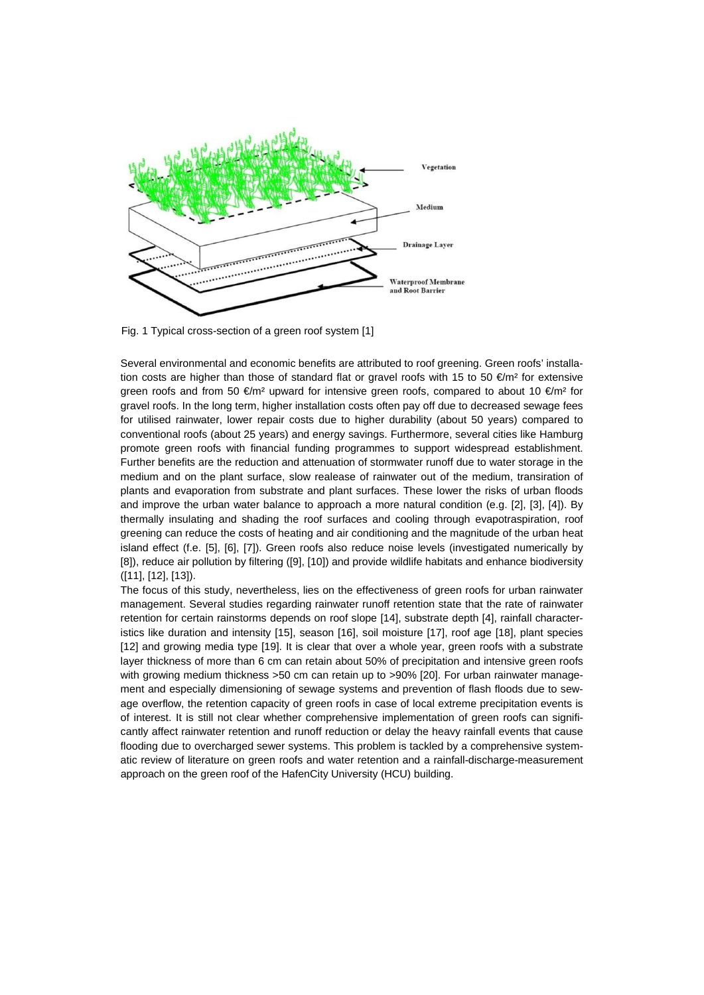

Fig. 1 Typical cross-section of a green roof system [1]

Several environmental and economic benefits are attributed to roof greening. Green roofs' installation costs are higher than those of standard flat or gravel roofs with 15 to 50 €/m<sup>2</sup> for extensive green roofs and from 50  $\epsilon/m^2$  upward for intensive green roofs, compared to about 10  $\epsilon/m^2$  for gravel roofs. In the long term, higher installation costs often pay off due to decreased sewage fees for utilised rainwater, lower repair costs due to higher durability (about 50 years) compared to conventional roofs (about 25 years) and energy savings. Furthermore, several cities like Hamburg promote green roofs with financial funding programmes to support widespread establishment. Further benefits are the reduction and attenuation of stormwater runoff due to water storage in the medium and on the plant surface, slow realease of rainwater out of the medium, transiration of plants and evaporation from substrate and plant surfaces. These lower the risks of urban floods and improve the urban water balance to approach a more natural condition (e.g. [2], [3], [4]). By thermally insulating and shading the roof surfaces and cooling through evapotraspiration, roof greening can reduce the costs of heating and air conditioning and the magnitude of the urban heat island effect (f.e. [5], [6], [7]). Green roofs also reduce noise levels (investigated numerically by [8]), reduce air pollution by filtering ([9], [10]) and provide wildlife habitats and enhance biodiversity ([11], [12], [13]).

The focus of this study, nevertheless, lies on the effectiveness of green roofs for urban rainwater management. Several studies regarding rainwater runoff retention state that the rate of rainwater retention for certain rainstorms depends on roof slope [14], substrate depth [4], rainfall characteristics like duration and intensity [15], season [16], soil moisture [17], roof age [18], plant species [12] and growing media type [19]. It is clear that over a whole year, green roofs with a substrate layer thickness of more than 6 cm can retain about 50% of precipitation and intensive green roofs with growing medium thickness >50 cm can retain up to >90% [20]. For urban rainwater management and especially dimensioning of sewage systems and prevention of flash floods due to sewage overflow, the retention capacity of green roofs in case of local extreme precipitation events is of interest. It is still not clear whether comprehensive implementation of green roofs can significantly affect rainwater retention and runoff reduction or delay the heavy rainfall events that cause flooding due to overcharged sewer systems. This problem is tackled by a comprehensive systematic review of literature on green roofs and water retention and a rainfall-discharge-measurement approach on the green roof of the HafenCity University (HCU) building.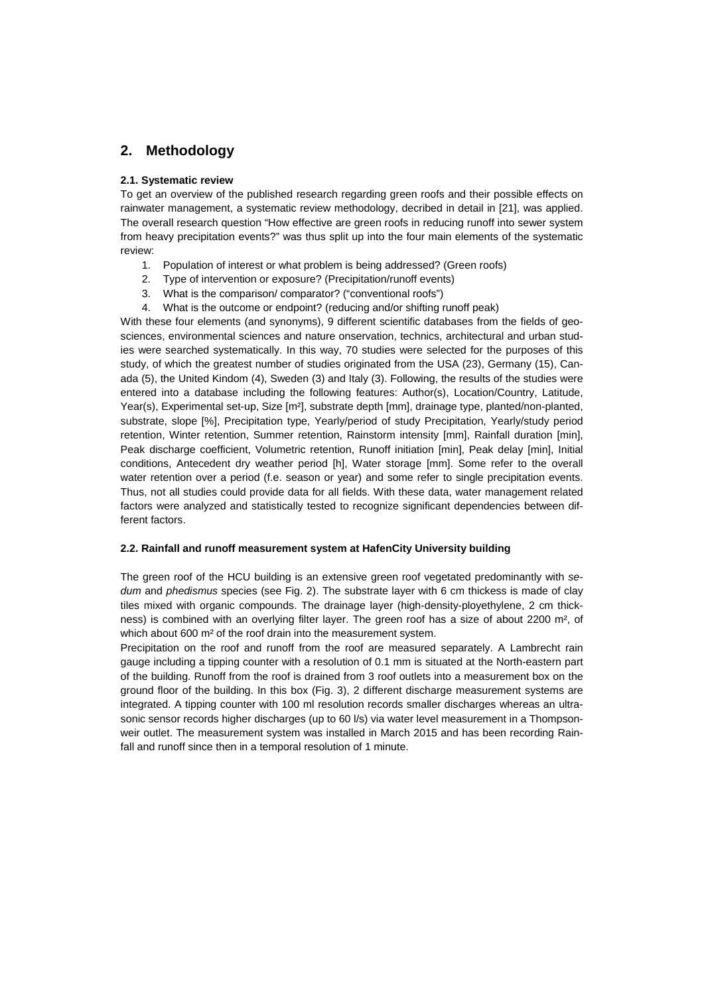### **2. Methodology**

#### **2.1. Systematic review**

To get an overview of the published research regarding green roofs and their possible effects on rainwater management, a systematic review methodology, decribed in detail in [21], was applied. The overall research question "How effective are green roofs in reducing runoff into sewer system from heavy precipitation events?" was thus split up into the four main elements of the systematic review:

- 1. Population of interest or what problem is being addressed? (Green roofs)
- 2. Type of intervention or exposure? (Precipitation/runoff events)
- 3. What is the comparison/ comparator? ("conventional roofs")
- 4. What is the outcome or endpoint? (reducing and/or shifting runoff peak)

With these four elements (and synonyms), 9 different scientific databases from the fields of geosciences, environmental sciences and nature onservation, technics, architectural and urban studies were searched systematically. In this way, 70 studies were selected for the purposes of this study, of which the greatest number of studies originated from the USA (23), Germany (15), Canada (5), the United Kindom (4), Sweden (3) and Italy (3). Following, the results of the studies were entered into a database including the following features: Author(s), Location/Country, Latitude, Year(s), Experimental set-up, Size [m<sup>2</sup>], substrate depth [mm], drainage type, planted/non-planted, substrate, slope [%], Precipitation type, Yearly/period of study Precipitation, Yearly/study period retention, Winter retention, Summer retention, Rainstorm intensity [mm], Rainfall duration [min], Peak discharge coefficient, Volumetric retention, Runoff initiation [min], Peak delay [min], Initial conditions, Antecedent dry weather period [h], Water storage [mm]. Some refer to the overall water retention over a period (f.e. season or year) and some refer to single precipitation events. Thus, not all studies could provide data for all fields. With these data, water management related factors were analyzed and statistically tested to recognize significant dependencies between different factors.

#### **2.2. Rainfall and runoff measurement system at HafenCity University building**

The green roof of the HCU building is an extensive green roof vegetated predominantly with *sedum* and *phedismus* species (see Fig. 2). The substrate layer with 6 cm thickess is made of clay tiles mixed with organic compounds. The drainage layer (high-density-ployethylene, 2 cm thickness) is combined with an overlying filter layer. The green roof has a size of about 2200 m², of which about 600 m<sup>2</sup> of the roof drain into the measurement system.

Precipitation on the roof and runoff from the roof are measured separately. A Lambrecht rain gauge including a tipping counter with a resolution of 0.1 mm is situated at the North-eastern part of the building. Runoff from the roof is drained from 3 roof outlets into a measurement box on the ground floor of the building. In this box (Fig. 3), 2 different discharge measurement systems are integrated. A tipping counter with 100 ml resolution records smaller discharges whereas an ultrasonic sensor records higher discharges (up to 60 l/s) via water level measurement in a Thompsonweir outlet. The measurement system was installed in March 2015 and has been recording Rainfall and runoff since then in a temporal resolution of 1 minute.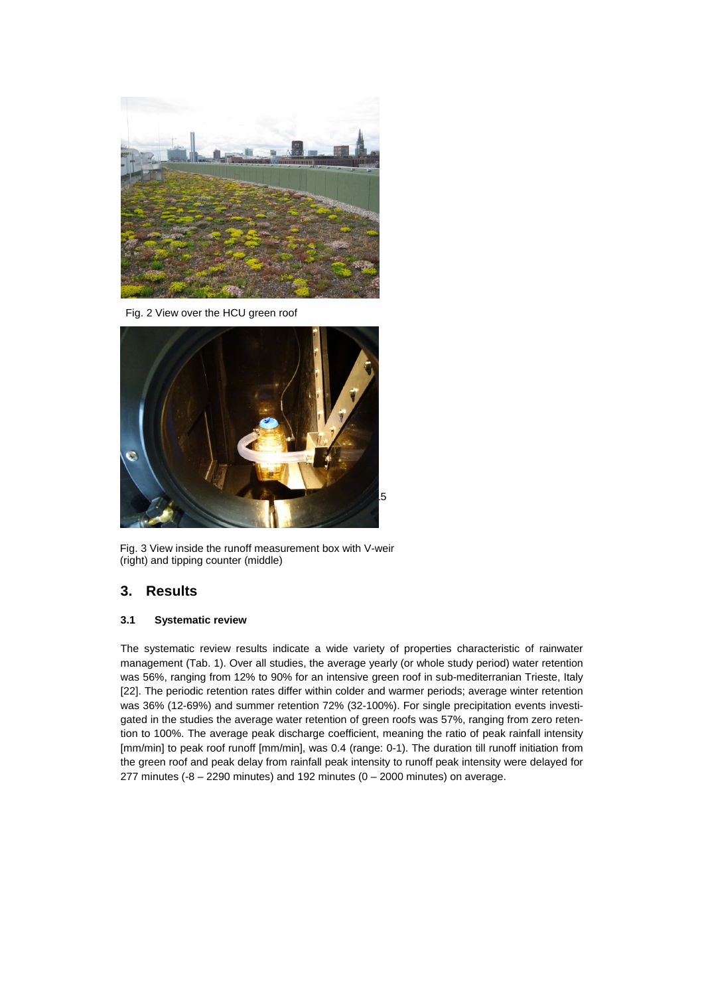

Fig. 2 View over the HCU green roof



Fig. 3 View inside the runoff measurement box with V-weir (right) and tipping counter (middle)

# **3. Results**

### **3.1 Systematic review**

The systematic review results indicate a wide variety of properties characteristic of rainwater management (Tab. 1). Over all studies, the average yearly (or whole study period) water retention was 56%, ranging from 12% to 90% for an intensive green roof in sub-mediterranian Trieste, Italy [22]. The periodic retention rates differ within colder and warmer periods; average winter retention was 36% (12-69%) and summer retention 72% (32-100%). For single precipitation events investigated in the studies the average water retention of green roofs was 57%, ranging from zero retention to 100%. The average peak discharge coefficient, meaning the ratio of peak rainfall intensity [mm/min] to peak roof runoff [mm/min], was 0.4 (range: 0-1). The duration till runoff initiation from the green roof and peak delay from rainfall peak intensity to runoff peak intensity were delayed for 277 minutes (-8 – 2290 minutes) and 192 minutes ( $0 - 2000$  minutes) on average.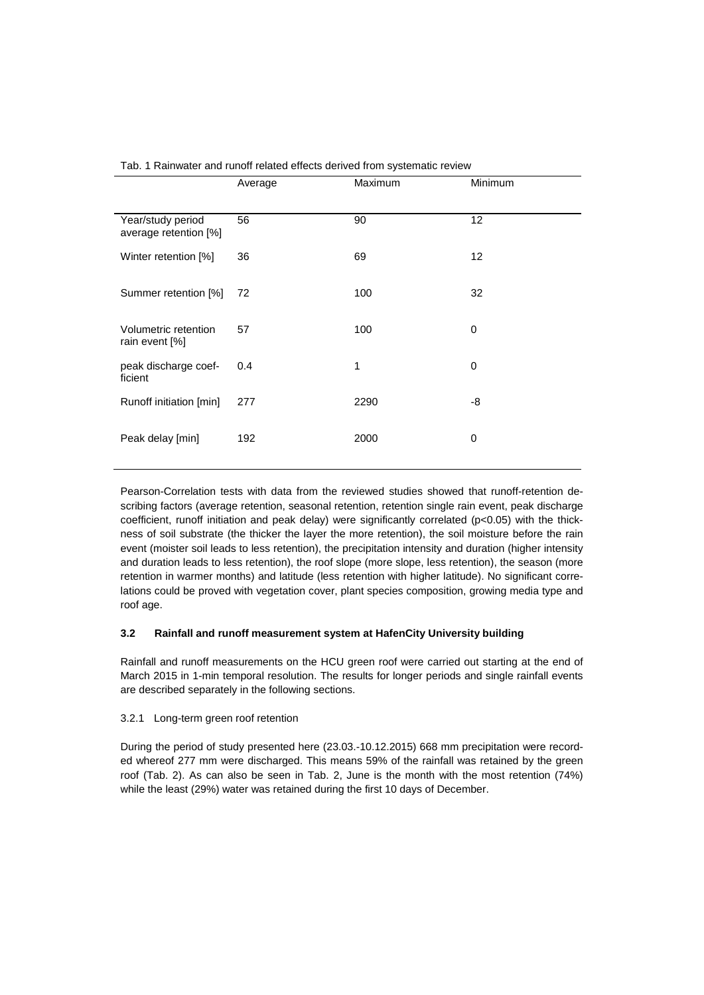|                                            | Average | Maximum | Minimum     |
|--------------------------------------------|---------|---------|-------------|
| Year/study period<br>average retention [%] | 56      | 90      | 12          |
| Winter retention [%]                       | 36      | 69      | 12          |
| Summer retention [%]                       | 72      | 100     | 32          |
| Volumetric retention<br>rain event [%]     | 57      | 100     | 0           |
| peak discharge coef-<br>ficient            | 0.4     | 1       | 0           |
| Runoff initiation [min]                    | 277     | 2290    | -8          |
| Peak delay [min]                           | 192     | 2000    | $\mathbf 0$ |
|                                            |         |         |             |

|  |  |  |  |  |  |  | Tab. 1 Rainwater and runoff related effects derived from systematic review |  |
|--|--|--|--|--|--|--|----------------------------------------------------------------------------|--|
|--|--|--|--|--|--|--|----------------------------------------------------------------------------|--|

Pearson-Correlation tests with data from the reviewed studies showed that runoff-retention describing factors (average retention, seasonal retention, retention single rain event, peak discharge coefficient, runoff initiation and peak delay) were significantly correlated (p<0.05) with the thickness of soil substrate (the thicker the layer the more retention), the soil moisture before the rain event (moister soil leads to less retention), the precipitation intensity and duration (higher intensity and duration leads to less retention), the roof slope (more slope, less retention), the season (more retention in warmer months) and latitude (less retention with higher latitude). No significant correlations could be proved with vegetation cover, plant species composition, growing media type and roof age.

#### **3.2 Rainfall and runoff measurement system at HafenCity University building**

Rainfall and runoff measurements on the HCU green roof were carried out starting at the end of March 2015 in 1-min temporal resolution. The results for longer periods and single rainfall events are described separately in the following sections.

#### 3.2.1 Long-term green roof retention

During the period of study presented here (23.03.-10.12.2015) 668 mm precipitation were recorded whereof 277 mm were discharged. This means 59% of the rainfall was retained by the green roof (Tab. 2). As can also be seen in Tab. 2, June is the month with the most retention (74%) while the least (29%) water was retained during the first 10 days of December.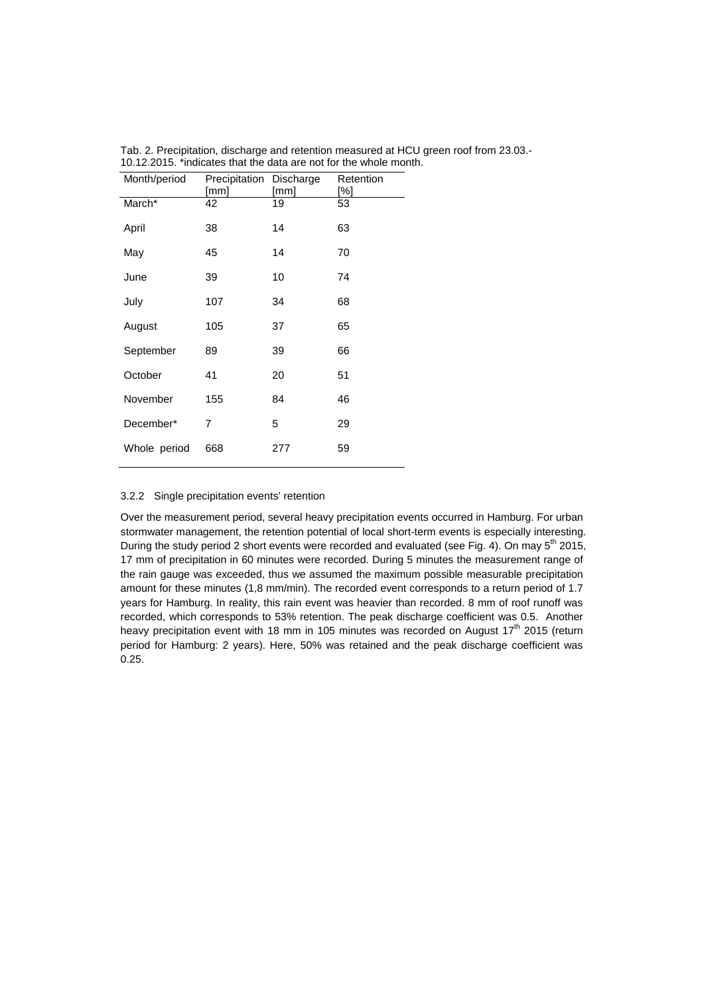| Month/period | Precipitation Discharge<br>[mm] | [mm] | Retention<br>[%] |
|--------------|---------------------------------|------|------------------|
| March*       | 42                              | 19   | 53               |
| April        | 38                              | 14   | 63               |
| May          | 45                              | 14   | 70               |
| June         | 39                              | 10   | 74               |
| July         | 107                             | 34   | 68               |
| August       | 105                             | 37   | 65               |
| September    | 89                              | 39   | 66               |
| October      | 41                              | 20   | 51               |
| November     | 155                             | 84   | 46               |
| December*    | 7                               | 5    | 29               |
| Whole period | 668                             | 277  | 59               |

Tab. 2. Precipitation, discharge and retention measured at HCU green roof from 23.03.- 10.12.2015. \*indicates that the data are not for the whole month.

#### 3.2.2 Single precipitation events' retention

Over the measurement period, several heavy precipitation events occurred in Hamburg. For urban stormwater management, the retention potential of local short-term events is especially interesting. During the study period 2 short events were recorded and evaluated (see Fig. 4). On may 5<sup>th</sup> 2015, 17 mm of precipitation in 60 minutes were recorded. During 5 minutes the measurement range of the rain gauge was exceeded, thus we assumed the maximum possible measurable precipitation amount for these minutes (1,8 mm/min). The recorded event corresponds to a return period of 1.7 years for Hamburg. In reality, this rain event was heavier than recorded. 8 mm of roof runoff was recorded, which corresponds to 53% retention. The peak discharge coefficient was 0.5. Another heavy precipitation event with 18 mm in 105 minutes was recorded on August 17<sup>th</sup> 2015 (return period for Hamburg: 2 years). Here, 50% was retained and the peak discharge coefficient was 0.25.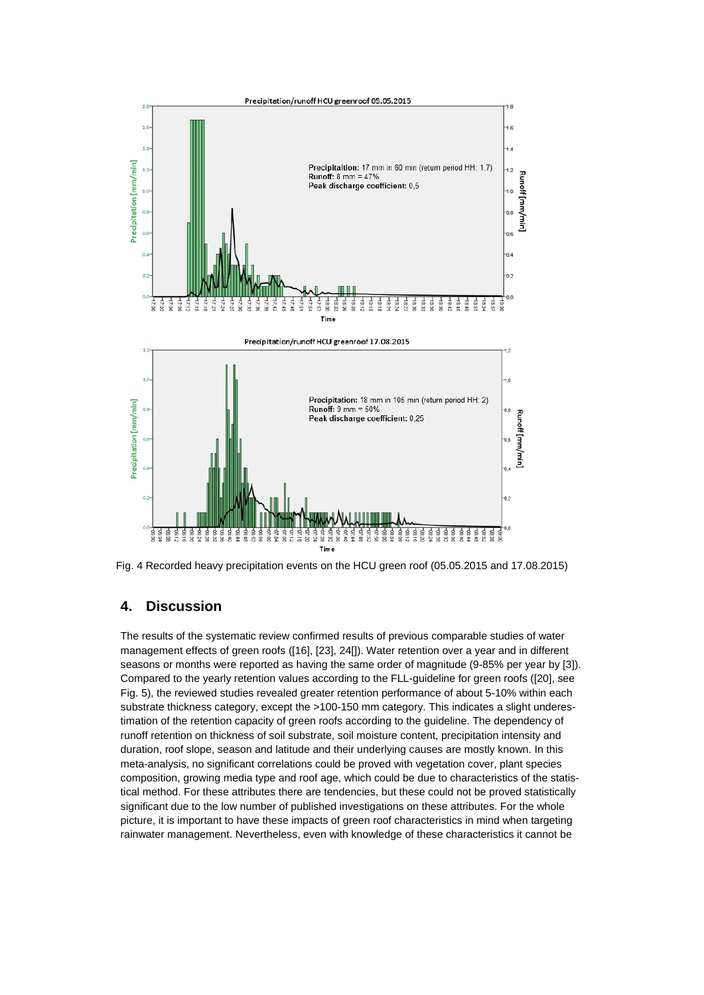

Fig. 4 Recorded heavy precipitation events on the HCU green roof (05.05.2015 and 17.08.2015)

# **4. Discussion**

The results of the systematic review confirmed results of previous comparable studies of water management effects of green roofs ([16], [23], 24[]). Water retention over a year and in different seasons or months were reported as having the same order of magnitude (9-85% per year by [3]). Compared to the yearly retention values according to the FLL-guideline for green roofs ([20], see Fig. 5), the reviewed studies revealed greater retention performance of about 5-10% within each substrate thickness category, except the >100-150 mm category. This indicates a slight underestimation of the retention capacity of green roofs according to the guideline. The dependency of runoff retention on thickness of soil substrate, soil moisture content, precipitation intensity and duration, roof slope, season and latitude and their underlying causes are mostly known. In this meta-analysis, no significant correlations could be proved with vegetation cover, plant species composition, growing media type and roof age, which could be due to characteristics of the statistical method. For these attributes there are tendencies, but these could not be proved statistically significant due to the low number of published investigations on these attributes. For the whole picture, it is important to have these impacts of green roof characteristics in mind when targeting rainwater management. Nevertheless, even with knowledge of these characteristics it cannot be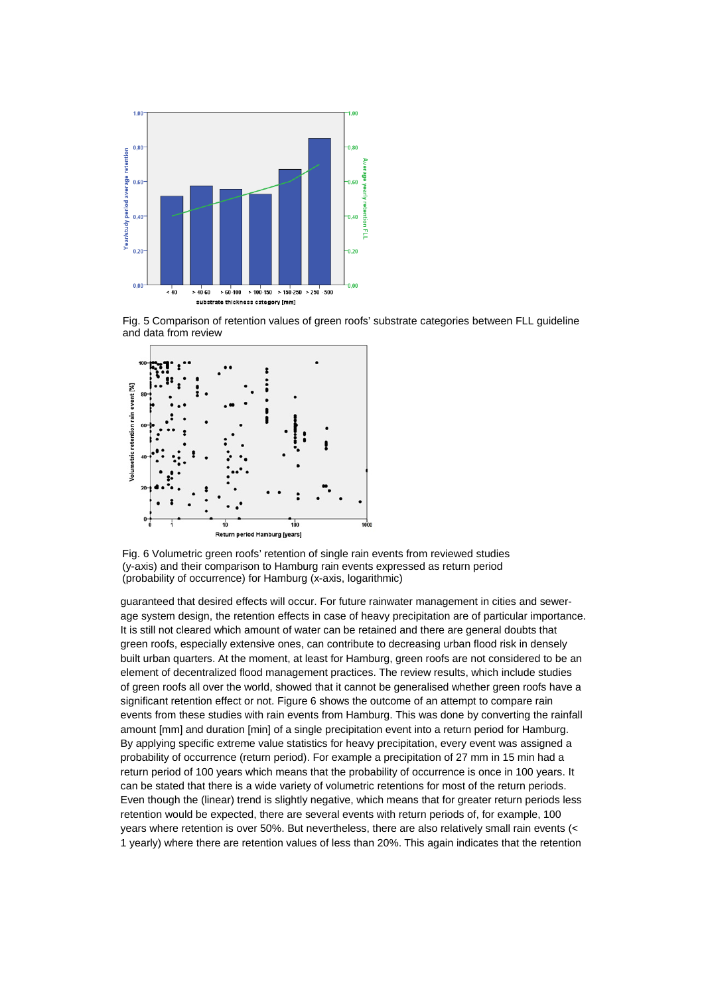

Fig. 5 Comparison of retention values of green roofs' substrate categories between FLL guideline and data from review



Fig. 6 Volumetric green roofs' retention of single rain events from reviewed studies (y-axis) and their comparison to Hamburg rain events expressed as return period (probability of occurrence) for Hamburg (x-axis, logarithmic)

guaranteed that desired effects will occur. For future rainwater management in cities and sewerage system design, the retention effects in case of heavy precipitation are of particular importance. It is still not cleared which amount of water can be retained and there are general doubts that green roofs, especially extensive ones, can contribute to decreasing urban flood risk in densely built urban quarters. At the moment, at least for Hamburg, green roofs are not considered to be an element of decentralized flood management practices. The review results, which include studies of green roofs all over the world, showed that it cannot be generalised whether green roofs have a significant retention effect or not. Figure 6 shows the outcome of an attempt to compare rain events from these studies with rain events from Hamburg. This was done by converting the rainfall amount [mm] and duration [min] of a single precipitation event into a return period for Hamburg. By applying specific extreme value statistics for heavy precipitation, every event was assigned a probability of occurrence (return period). For example a precipitation of 27 mm in 15 min had a return period of 100 years which means that the probability of occurrence is once in 100 years. It can be stated that there is a wide variety of volumetric retentions for most of the return periods. Even though the (linear) trend is slightly negative, which means that for greater return periods less retention would be expected, there are several events with return periods of, for example, 100 years where retention is over 50%. But nevertheless, there are also relatively small rain events (< 1 yearly) where there are retention values of less than 20%. This again indicates that the retention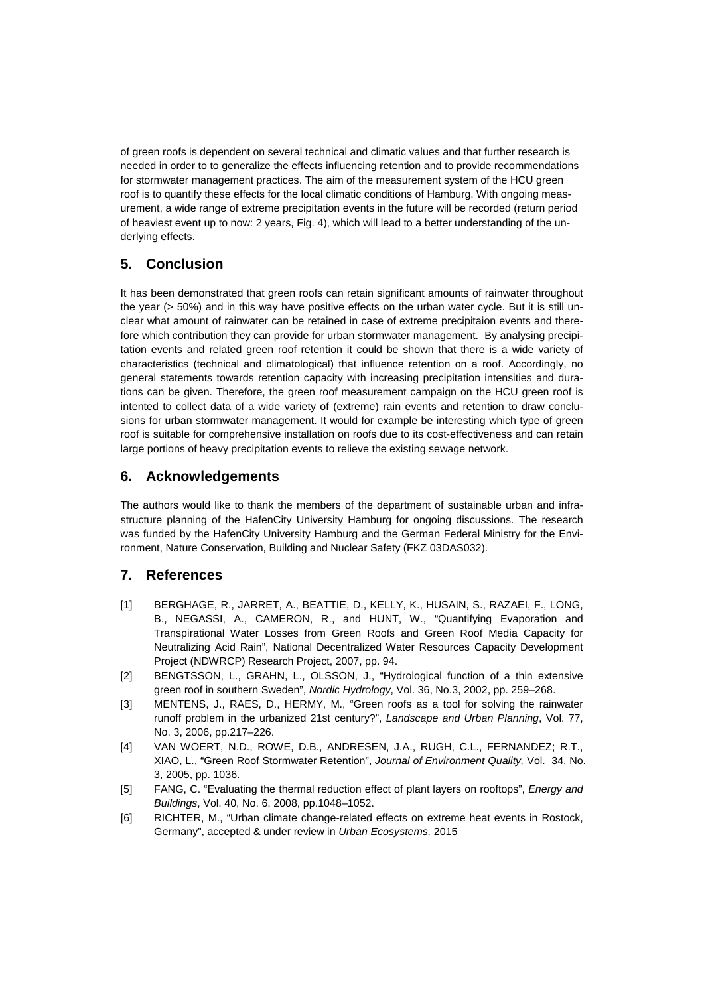of green roofs is dependent on several technical and climatic values and that further research is needed in order to to generalize the effects influencing retention and to provide recommendations for stormwater management practices. The aim of the measurement system of the HCU green roof is to quantify these effects for the local climatic conditions of Hamburg. With ongoing measurement, a wide range of extreme precipitation events in the future will be recorded (return period of heaviest event up to now: 2 years, Fig. 4), which will lead to a better understanding of the underlying effects.

# **5. Conclusion**

It has been demonstrated that green roofs can retain significant amounts of rainwater throughout the year (> 50%) and in this way have positive effects on the urban water cycle. But it is still unclear what amount of rainwater can be retained in case of extreme precipitaion events and therefore which contribution they can provide for urban stormwater management. By analysing precipitation events and related green roof retention it could be shown that there is a wide variety of characteristics (technical and climatological) that influence retention on a roof. Accordingly, no general statements towards retention capacity with increasing precipitation intensities and durations can be given. Therefore, the green roof measurement campaign on the HCU green roof is intented to collect data of a wide variety of (extreme) rain events and retention to draw conclusions for urban stormwater management. It would for example be interesting which type of green roof is suitable for comprehensive installation on roofs due to its cost-effectiveness and can retain large portions of heavy precipitation events to relieve the existing sewage network.

# **6. Acknowledgements**

The authors would like to thank the members of the department of sustainable urban and infrastructure planning of the HafenCity University Hamburg for ongoing discussions. The research was funded by the HafenCity University Hamburg and the German Federal Ministry for the Environment, Nature Conservation, Building and Nuclear Safety (FKZ 03DAS032).

# **7. References**

- [1] BERGHAGE, R., JARRET, A., BEATTIE, D., KELLY, K., HUSAIN, S., RAZAEI, F., LONG, B., NEGASSI, A., CAMERON, R., and HUNT, W., "Quantifying Evaporation and Transpirational Water Losses from Green Roofs and Green Roof Media Capacity for Neutralizing Acid Rain", National Decentralized Water Resources Capacity Development Project (NDWRCP) Research Project, 2007, pp. 94.
- [2] BENGTSSON, L., GRAHN, L., OLSSON, J., "Hydrological function of a thin extensive green roof in southern Sweden", *Nordic Hydrology*, Vol. 36, No.3, 2002, pp. 259–268.
- [3] MENTENS, J., RAES, D., HERMY, M., "Green roofs as a tool for solving the rainwater runoff problem in the urbanized 21st century?", *Landscape and Urban Planning*, Vol. 77, No. 3, 2006, pp.217–226.
- [4] VAN WOERT, N.D., ROWE, D.B., ANDRESEN, J.A., RUGH, C.L., FERNANDEZ; R.T., XIAO, L., "Green Roof Stormwater Retention", *Journal of Environment Quality,* Vol. 34, No. 3, 2005, pp. 1036.
- [5] FANG, C. "Evaluating the thermal reduction effect of plant layers on rooftops", *Energy and Buildings*, Vol. 40, No. 6, 2008, pp.1048–1052.
- [6] RICHTER, M., "Urban climate change-related effects on extreme heat events in Rostock, Germany", accepted & under review in *Urban Ecosystems,* 2015